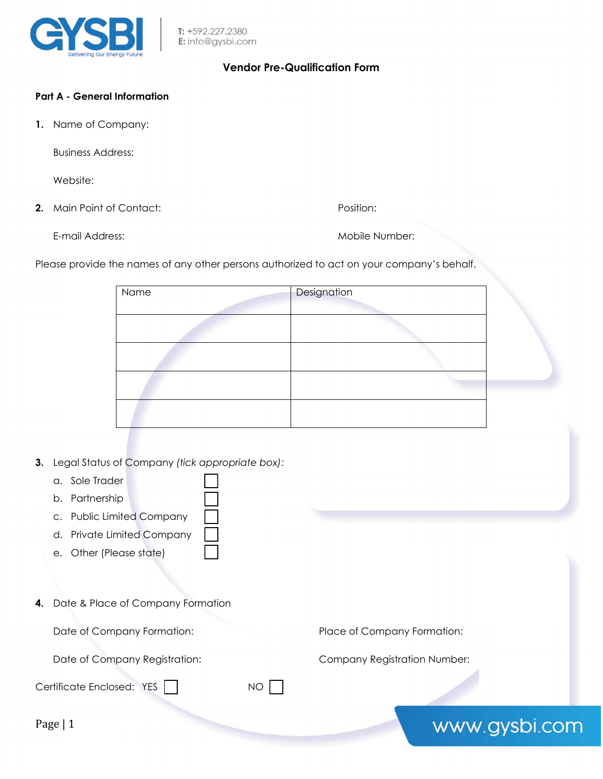

# **Vendor Pre-Qualification Form**

## **Part A - General Information**

**1.** Name of Company:

Business Address:

Website:

**2.** Main Point of Contact: **Position:** Position:

E-mail Address: Nobile Number: Mobile Number:

Please provide the names of any other persons authorized to act on your company's behalf.

| Name | Designation |  |
|------|-------------|--|
|      |             |  |
|      |             |  |
|      |             |  |
|      |             |  |

- **3.** Legal Status of Company *(tick appropriate box)*:
	- a. Sole Trader
	- b. Partnership
	- c. Public Limited Company
	- d. Private Limited Company
	- e. Other (Please state)
- **4.** Date & Place of Company Formation

Certificate Enclosed: YES | NO |

Date of Company Formation: Place of Company Formation:

Date of Company Registration: Company Registration Number:

Page | 1

www.gysbi.com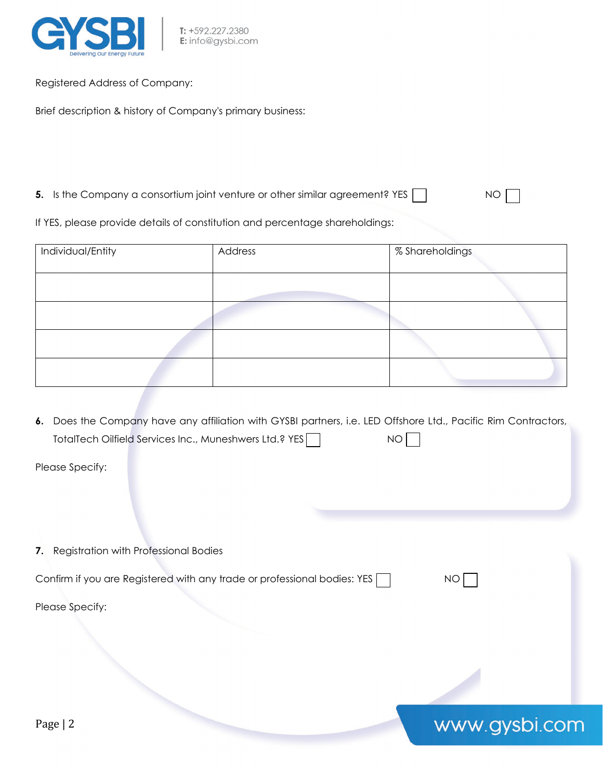

Registered Address of Company:

Brief description & history of Company's primary business:

**5.** Is the Company a consortium joint venture or other similar agreement? YES NO

www.gysbi.com

If YES, please provide details of constitution and percentage shareholdings:

| Individual/Entity | Address | % Shareholdings |
|-------------------|---------|-----------------|
|                   |         |                 |
|                   |         |                 |
|                   |         |                 |
|                   |         |                 |

**6.** Does the Company have any affiliation with GYSBI partners, i.e. LED Offshore Ltd., Pacific Rim Contractors, TotalTech Oilfield Services Inc., Muneshwers Ltd.? YES

Please Specify:

**7.** Registration with Professional Bodies Confirm if you are Registered with any trade or professional bodies: YES  $\Box$  NO  $\Box$ Please Specify: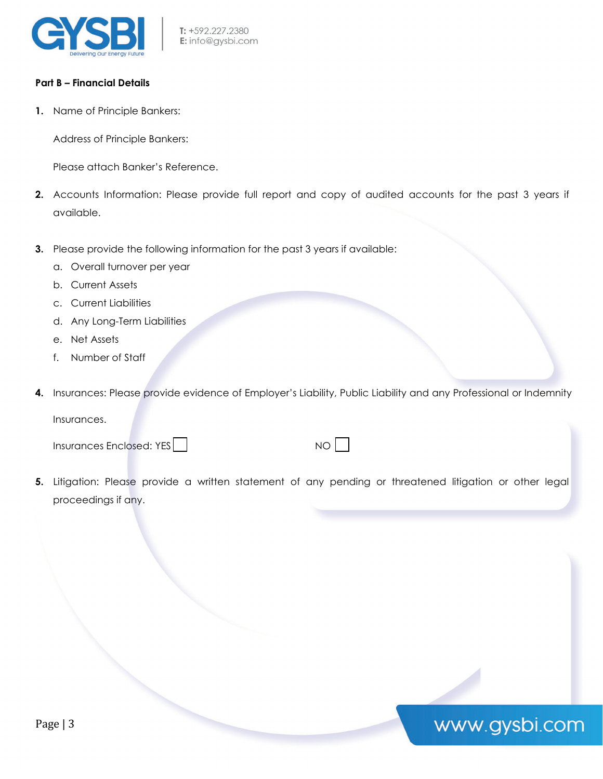

### **Part B – Financial Details**

**1.** Name of Principle Bankers:

Address of Principle Bankers:

Please attach Banker's Reference.

- **2.** Accounts Information: Please provide full report and copy of audited accounts for the past 3 years if available.
- **3.** Please provide the following information for the past 3 years if available:
	- a. Overall turnover per year
	- b. Current Assets
	- c. Current Liabilities
	- d. Any Long-Term Liabilities
	- e. Net Assets
	- f. Number of Staff
- **4.** Insurances: Please provide evidence of Employer's Liability, Public Liability and any Professional or Indemnity Insurances.

Insurances Enclosed: YES NO NO NO

www.gysbi.com

**5.** Litigation: Please provide a written statement of any pending or threatened litigation or other legal proceedings if any.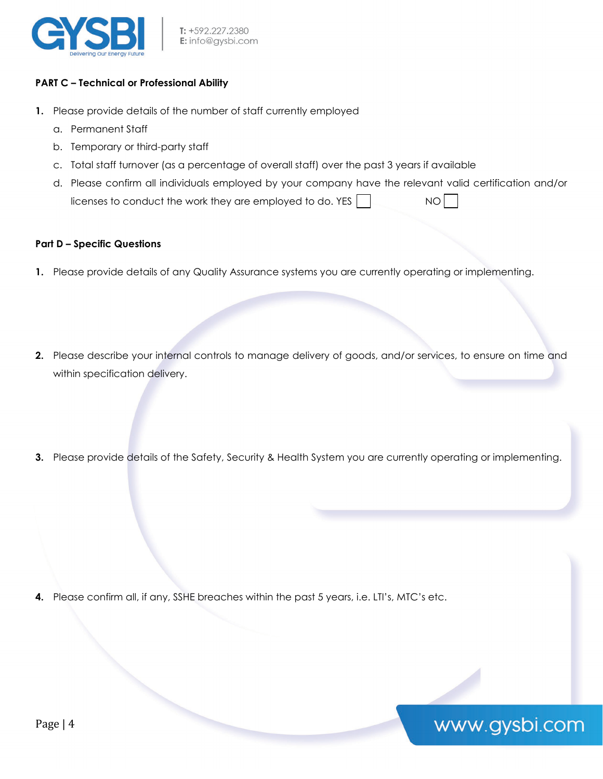

## **PART C – Technical or Professional Ability**

- **1.** Please provide details of the number of staff currently employed
	- a. Permanent Staff
	- b. Temporary or third-party staff
	- c. Total staff turnover (as a percentage of overall staff) over the past 3 years if available
	- d. Please confirm all individuals employed by your company have the relevant valid certification and/or licenses to conduct the work they are employed to do. YES  $\vert$   $\vert$  NO

### **Part D – Specific Questions**

- **1.** Please provide details of any Quality Assurance systems you are currently operating or implementing.
- **2.** Please describe your internal controls to manage delivery of goods, and/or services, to ensure on time and within specification delivery.
- **3.** Please provide details of the Safety, Security & Health System you are currently operating or implementing.

www.gysbi.com

**4.** Please confirm all, if any, SSHE breaches within the past 5 years, i.e. LTI's, MTC's etc.